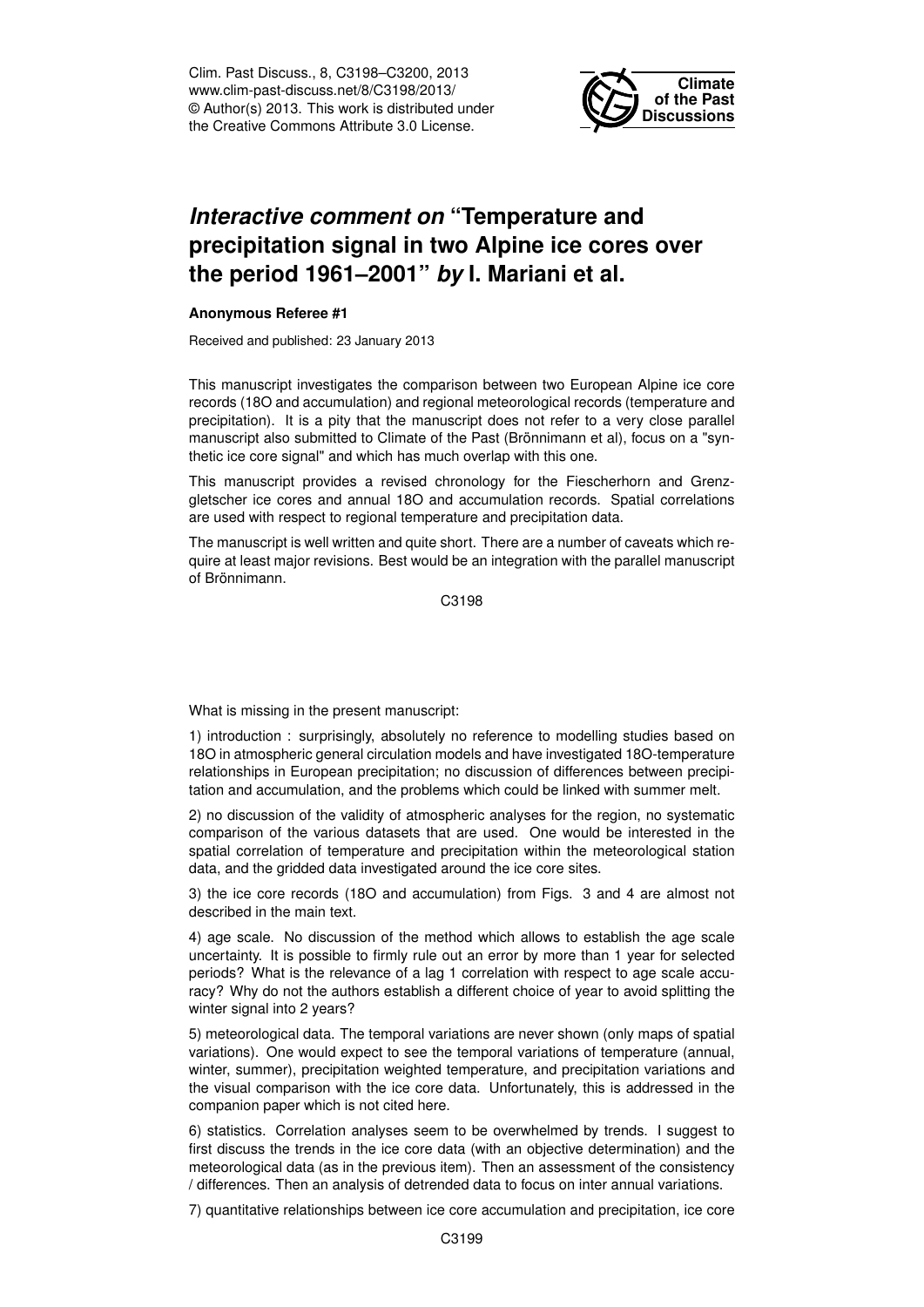Clim. Past Discuss., 8, C3198–C3200, 2013 www.clim-past-discuss.net/8/C3198/2013/ © Author(s) 2013. This work is distributed under the Creative Commons Attribute 3.0 License.



## *Interactive comment on* **"Temperature and precipitation signal in two Alpine ice cores over the period 1961–2001"** *by* **I. Mariani et al.**

## **Anonymous Referee #1**

Received and published: 23 January 2013

This manuscript investigates the comparison between two European Alpine ice core records (18O and accumulation) and regional meteorological records (temperature and precipitation). It is a pity that the manuscript does not refer to a very close parallel manuscript also submitted to Climate of the Past (Brönnimann et al), focus on a "synthetic ice core signal" and which has much overlap with this one.

This manuscript provides a revised chronology for the Fiescherhorn and Grenzgletscher ice cores and annual 18O and accumulation records. Spatial correlations are used with respect to regional temperature and precipitation data.

The manuscript is well written and quite short. There are a number of caveats which require at least major revisions. Best would be an integration with the parallel manuscript of Brönnimann.

C3198

What is missing in the present manuscript:

1) introduction : surprisingly, absolutely no reference to modelling studies based on 18O in atmospheric general circulation models and have investigated 18O-temperature relationships in European precipitation; no discussion of differences between precipitation and accumulation, and the problems which could be linked with summer melt.

2) no discussion of the validity of atmospheric analyses for the region, no systematic comparison of the various datasets that are used. One would be interested in the spatial correlation of temperature and precipitation within the meteorological station data, and the gridded data investigated around the ice core sites.

3) the ice core records (18O and accumulation) from Figs. 3 and 4 are almost not described in the main text.

4) age scale. No discussion of the method which allows to establish the age scale uncertainty. It is possible to firmly rule out an error by more than 1 year for selected periods? What is the relevance of a lag 1 correlation with respect to age scale accuracy? Why do not the authors establish a different choice of year to avoid splitting the winter signal into 2 years?

5) meteorological data. The temporal variations are never shown (only maps of spatial variations). One would expect to see the temporal variations of temperature (annual, winter, summer), precipitation weighted temperature, and precipitation variations and the visual comparison with the ice core data. Unfortunately, this is addressed in the companion paper which is not cited here.

6) statistics. Correlation analyses seem to be overwhelmed by trends. I suggest to first discuss the trends in the ice core data (with an objective determination) and the meteorological data (as in the previous item). Then an assessment of the consistency / differences. Then an analysis of detrended data to focus on inter annual variations.

7) quantitative relationships between ice core accumulation and precipitation, ice core